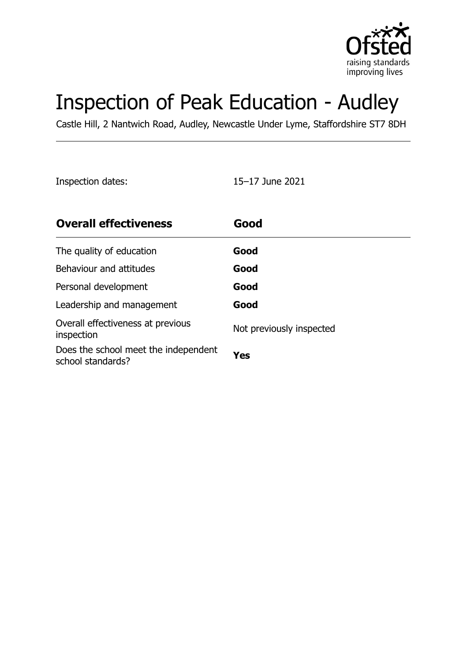

# Inspection of Peak Education - Audley

Castle Hill, 2 Nantwich Road, Audley, Newcastle Under Lyme, Staffordshire ST7 8DH

Inspection dates: 15–17 June 2021

| <b>Overall effectiveness</b>                              | Good                     |
|-----------------------------------------------------------|--------------------------|
| The quality of education                                  | Good                     |
| Behaviour and attitudes                                   | Good                     |
| Personal development                                      | Good                     |
| Leadership and management                                 | Good                     |
| Overall effectiveness at previous<br>inspection           | Not previously inspected |
| Does the school meet the independent<br>school standards? | Yes                      |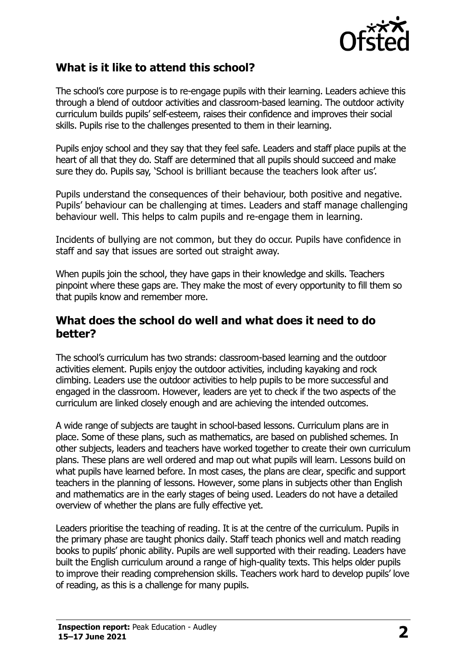

### **What is it like to attend this school?**

The school's core purpose is to re-engage pupils with their learning. Leaders achieve this through a blend of outdoor activities and classroom-based learning. The outdoor activity curriculum builds pupils' self-esteem, raises their confidence and improves their social skills. Pupils rise to the challenges presented to them in their learning.

Pupils enjoy school and they say that they feel safe. Leaders and staff place pupils at the heart of all that they do. Staff are determined that all pupils should succeed and make sure they do. Pupils say, 'School is brilliant because the teachers look after us'.

Pupils understand the consequences of their behaviour, both positive and negative. Pupils' behaviour can be challenging at times. Leaders and staff manage challenging behaviour well. This helps to calm pupils and re-engage them in learning.

Incidents of bullying are not common, but they do occur. Pupils have confidence in staff and say that issues are sorted out straight away.

When pupils join the school, they have gaps in their knowledge and skills. Teachers pinpoint where these gaps are. They make the most of every opportunity to fill them so that pupils know and remember more.

#### **What does the school do well and what does it need to do better?**

The school's curriculum has two strands: classroom-based learning and the outdoor activities element. Pupils enjoy the outdoor activities, including kayaking and rock climbing. Leaders use the outdoor activities to help pupils to be more successful and engaged in the classroom. However, leaders are yet to check if the two aspects of the curriculum are linked closely enough and are achieving the intended outcomes.

A wide range of subjects are taught in school-based lessons. Curriculum plans are in place. Some of these plans, such as mathematics, are based on published schemes. In other subjects, leaders and teachers have worked together to create their own curriculum plans. These plans are well ordered and map out what pupils will learn. Lessons build on what pupils have learned before. In most cases, the plans are clear, specific and support teachers in the planning of lessons. However, some plans in subjects other than English and mathematics are in the early stages of being used. Leaders do not have a detailed overview of whether the plans are fully effective yet.

Leaders prioritise the teaching of reading. It is at the centre of the curriculum. Pupils in the primary phase are taught phonics daily. Staff teach phonics well and match reading books to pupils' phonic ability. Pupils are well supported with their reading. Leaders have built the English curriculum around a range of high-quality texts. This helps older pupils to improve their reading comprehension skills. Teachers work hard to develop pupils' love of reading, as this is a challenge for many pupils.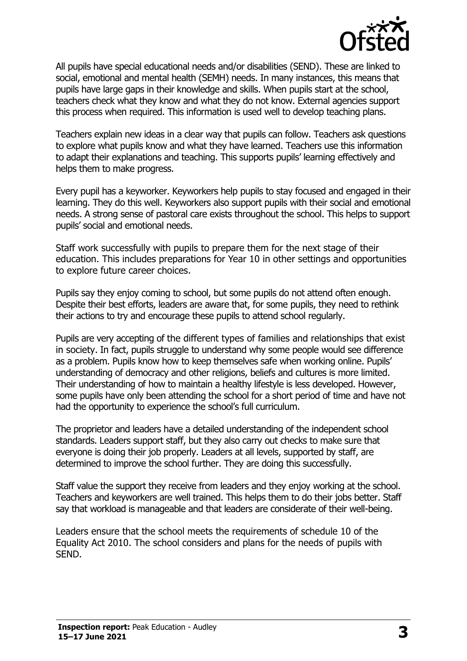

All pupils have special educational needs and/or disabilities (SEND). These are linked to social, emotional and mental health (SEMH) needs. In many instances, this means that pupils have large gaps in their knowledge and skills. When pupils start at the school, teachers check what they know and what they do not know. External agencies support this process when required. This information is used well to develop teaching plans.

Teachers explain new ideas in a clear way that pupils can follow. Teachers ask questions to explore what pupils know and what they have learned. Teachers use this information to adapt their explanations and teaching. This supports pupils' learning effectively and helps them to make progress.

Every pupil has a keyworker. Keyworkers help pupils to stay focused and engaged in their learning. They do this well. Keyworkers also support pupils with their social and emotional needs. A strong sense of pastoral care exists throughout the school. This helps to support pupils' social and emotional needs.

Staff work successfully with pupils to prepare them for the next stage of their education. This includes preparations for Year 10 in other settings and opportunities to explore future career choices.

Pupils say they enjoy coming to school, but some pupils do not attend often enough. Despite their best efforts, leaders are aware that, for some pupils, they need to rethink their actions to try and encourage these pupils to attend school regularly.

Pupils are very accepting of the different types of families and relationships that exist in society. In fact, pupils struggle to understand why some people would see difference as a problem. Pupils know how to keep themselves safe when working online. Pupils' understanding of democracy and other religions, beliefs and cultures is more limited. Their understanding of how to maintain a healthy lifestyle is less developed. However, some pupils have only been attending the school for a short period of time and have not had the opportunity to experience the school's full curriculum.

The proprietor and leaders have a detailed understanding of the independent school standards. Leaders support staff, but they also carry out checks to make sure that everyone is doing their job properly. Leaders at all levels, supported by staff, are determined to improve the school further. They are doing this successfully.

Staff value the support they receive from leaders and they enjoy working at the school. Teachers and keyworkers are well trained. This helps them to do their jobs better. Staff say that workload is manageable and that leaders are considerate of their well-being.

Leaders ensure that the school meets the requirements of schedule 10 of the Equality Act 2010. The school considers and plans for the needs of pupils with SEND.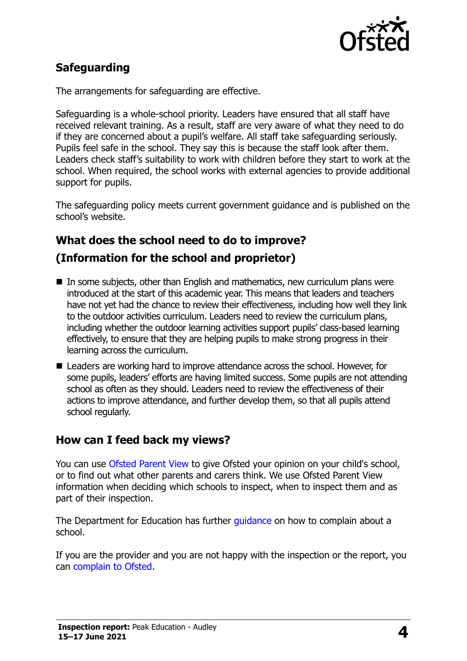

# **Safeguarding**

The arrangements for safeguarding are effective.

Safeguarding is a whole-school priority. Leaders have ensured that all staff have received relevant training. As a result, staff are very aware of what they need to do if they are concerned about a pupil's welfare. All staff take safeguarding seriously. Pupils feel safe in the school. They say this is because the staff look after them. Leaders check staff's suitability to work with children before they start to work at the school. When required, the school works with external agencies to provide additional support for pupils.

The safeguarding policy meets current government guidance and is published on the school's website.

# **What does the school need to do to improve?**

### **(Information for the school and proprietor)**

- $\blacksquare$  In some subjects, other than English and mathematics, new curriculum plans were introduced at the start of this academic year. This means that leaders and teachers have not yet had the chance to review their effectiveness, including how well they link to the outdoor activities curriculum. Leaders need to review the curriculum plans, including whether the outdoor learning activities support pupils' class-based learning effectively, to ensure that they are helping pupils to make strong progress in their learning across the curriculum.
- Leaders are working hard to improve attendance across the school. However, for some pupils, leaders' efforts are having limited success. Some pupils are not attending school as often as they should. Leaders need to review the effectiveness of their actions to improve attendance, and further develop them, so that all pupils attend school regularly.

### **How can I feed back my views?**

You can use [Ofsted Parent View](http://parentview.ofsted.gov.uk/) to give Ofsted your opinion on your child's school, or to find out what other parents and carers think. We use Ofsted Parent View information when deciding which schools to inspect, when to inspect them and as part of their inspection.

The Department for Education has further quidance on how to complain about a school.

If you are the provider and you are not happy with the inspection or the report, you can [complain to Ofsted.](http://www.gov.uk/complain-ofsted-report)

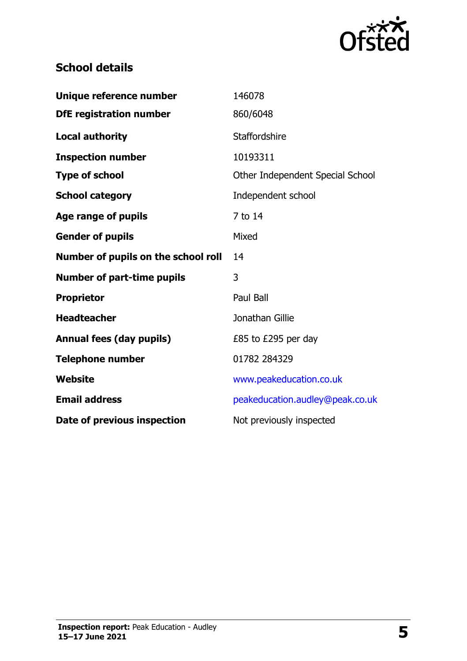

# **School details**

| Unique reference number             | 146078                           |  |
|-------------------------------------|----------------------------------|--|
| <b>DfE registration number</b>      | 860/6048                         |  |
| <b>Local authority</b>              | Staffordshire                    |  |
| <b>Inspection number</b>            | 10193311                         |  |
| <b>Type of school</b>               | Other Independent Special School |  |
| <b>School category</b>              | Independent school               |  |
| Age range of pupils                 | 7 to 14                          |  |
| <b>Gender of pupils</b>             | Mixed                            |  |
| Number of pupils on the school roll | 14                               |  |
| <b>Number of part-time pupils</b>   | 3                                |  |
| <b>Proprietor</b>                   | Paul Ball                        |  |
| <b>Headteacher</b>                  | Jonathan Gillie                  |  |
| <b>Annual fees (day pupils)</b>     | £85 to £295 per day              |  |
| <b>Telephone number</b>             | 01782 284329                     |  |
| Website                             | www.peakeducation.co.uk          |  |
| <b>Email address</b>                | peakeducation.audley@peak.co.uk  |  |
| Date of previous inspection         | Not previously inspected         |  |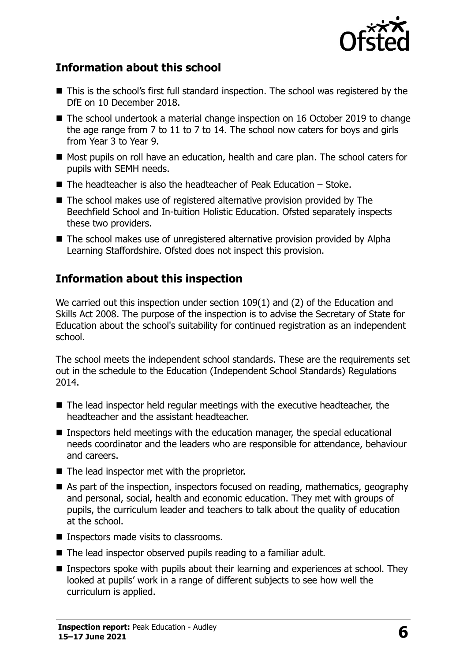

#### **Information about this school**

- This is the school's first full standard inspection. The school was registered by the DfE on 10 December 2018.
- The school undertook a material change inspection on 16 October 2019 to change the age range from 7 to 11 to 7 to 14. The school now caters for boys and girls from Year 3 to Year 9.
- Most pupils on roll have an education, health and care plan. The school caters for pupils with SEMH needs.
- $\blacksquare$  The headteacher is also the headteacher of Peak Education Stoke.
- The school makes use of registered alternative provision provided by The Beechfield School and In-tuition Holistic Education. Ofsted separately inspects these two providers.
- The school makes use of unregistered alternative provision provided by Alpha Learning Staffordshire. Ofsted does not inspect this provision.

## **Information about this inspection**

We carried out this inspection under section 109(1) and (2) of the Education and Skills Act 2008. The purpose of the inspection is to advise the Secretary of State for Education about the school's suitability for continued registration as an independent school.

The school meets the independent school standards. These are the requirements set out in the schedule to the Education (Independent School Standards) Regulations 2014.

- The lead inspector held regular meetings with the executive headteacher, the headteacher and the assistant headteacher.
- Inspectors held meetings with the education manager, the special educational needs coordinator and the leaders who are responsible for attendance, behaviour and careers.
- $\blacksquare$  The lead inspector met with the proprietor.
- As part of the inspection, inspectors focused on reading, mathematics, geography and personal, social, health and economic education. They met with groups of pupils, the curriculum leader and teachers to talk about the quality of education at the school.
- **Inspectors made visits to classrooms.**
- The lead inspector observed pupils reading to a familiar adult.
- **I** Inspectors spoke with pupils about their learning and experiences at school. They looked at pupils' work in a range of different subjects to see how well the curriculum is applied.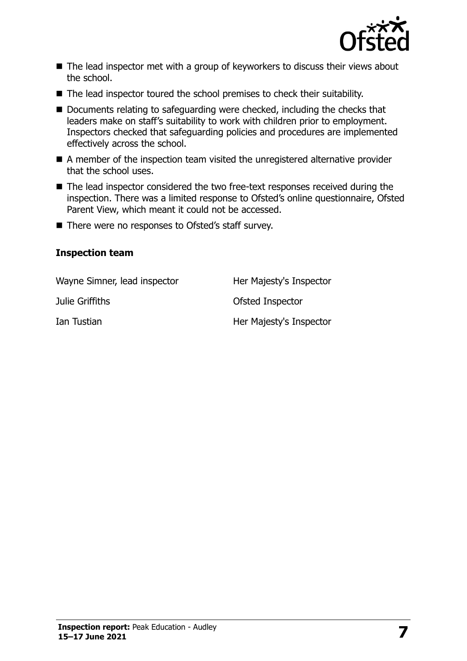

- The lead inspector met with a group of keyworkers to discuss their views about the school.
- The lead inspector toured the school premises to check their suitability.
- Documents relating to safeguarding were checked, including the checks that leaders make on staff's suitability to work with children prior to employment. Inspectors checked that safeguarding policies and procedures are implemented effectively across the school.
- A member of the inspection team visited the unregistered alternative provider that the school uses.
- The lead inspector considered the two free-text responses received during the inspection. There was a limited response to Ofsted's online questionnaire, Ofsted Parent View, which meant it could not be accessed.
- There were no responses to Ofsted's staff survey.

#### **Inspection team**

| Wayne Simner, lead inspector | Her Majesty's Inspector |
|------------------------------|-------------------------|
| Julie Griffiths              | Ofsted Inspector        |
| Ian Tustian                  | Her Majesty's Inspector |